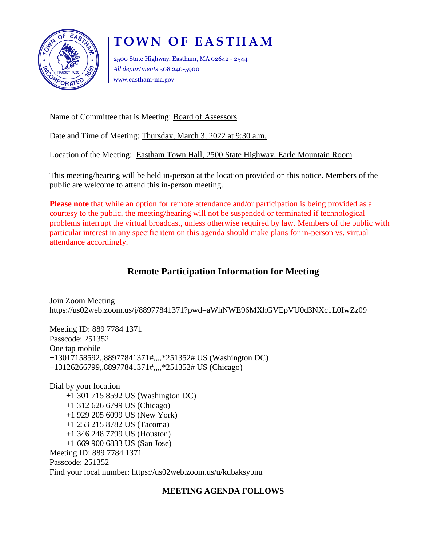

# **TOWN OF EASTHAM**

2500 State Highway, Eastham, MA 02642 - 2544 *All departments* 508 240-5900 www.eastham-ma.gov

Name of Committee that is Meeting: Board of Assessors

Date and Time of Meeting: Thursday, March 3, 2022 at 9:30 a.m.

Location of the Meeting: Eastham Town Hall, 2500 State Highway, Earle Mountain Room

This meeting/hearing will be held in-person at the location provided on this notice. Members of the public are welcome to attend this in-person meeting.

**Please note** that while an option for remote attendance and/or participation is being provided as a courtesy to the public, the meeting/hearing will not be suspended or terminated if technological problems interrupt the virtual broadcast, unless otherwise required by law. Members of the public with particular interest in any specific item on this agenda should make plans for in-person vs. virtual attendance accordingly.

## **Remote Participation Information for Meeting**

Join Zoom Meeting https://us02web.zoom.us/j/88977841371?pwd=aWhNWE96MXhGVEpVU0d3NXc1L0IwZz09

Meeting ID: 889 7784 1371 Passcode: 251352 One tap mobile +13017158592,,88977841371#,,,,\*251352# US (Washington DC) +13126266799,,88977841371#,,,,\*251352# US (Chicago)

Dial by your location +1 301 715 8592 US (Washington DC) +1 312 626 6799 US (Chicago) +1 929 205 6099 US (New York) +1 253 215 8782 US (Tacoma) +1 346 248 7799 US (Houston) +1 669 900 6833 US (San Jose) Meeting ID: 889 7784 1371 Passcode: 251352 Find your local number: https://us02web.zoom.us/u/kdbaksybnu

### **MEETING AGENDA FOLLOWS**